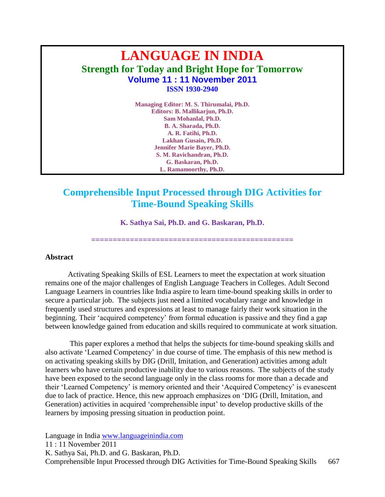# **LANGUAGE IN INDIA Strength for Today and Bright Hope for Tomorrow Volume 11 : 11 November 2011 ISSN 1930-2940**

**Managing Editor: M. S. Thirumalai, Ph.D. Editors: B. Mallikarjun, Ph.D. Sam Mohanlal, Ph.D. B. A. Sharada, Ph.D. A. R. Fatihi, Ph.D. Lakhan Gusain, Ph.D. Jennifer Marie Bayer, Ph.D. S. M. Ravichandran, Ph.D. G. Baskaran, Ph.D. L. Ramamoorthy, Ph.D.**

## **Comprehensible Input Processed through DIG Activities for Time-Bound Speaking Skills**

**K. Sathya Sai, Ph.D. and G. Baskaran, Ph.D.**

**===============================================**

#### **Abstract**

Activating Speaking Skills of ESL Learners to meet the expectation at work situation remains one of the major challenges of English Language Teachers in Colleges. Adult Second Language Learners in countries like India aspire to learn time-bound speaking skills in order to secure a particular job. The subjects just need a limited vocabulary range and knowledge in frequently used structures and expressions at least to manage fairly their work situation in the beginning. Their 'acquired competency' from formal education is passive and they find a gap between knowledge gained from education and skills required to communicate at work situation.

This paper explores a method that helps the subjects for time-bound speaking skills and also activate "Learned Competency" in due course of time. The emphasis of this new method is on activating speaking skills by DIG (Drill, Imitation, and Generation) activities among adult learners who have certain productive inability due to various reasons. The subjects of the study have been exposed to the second language only in the class rooms for more than a decade and their "Learned Competency" is memory oriented and their "Acquired Competency" is evanescent due to lack of practice. Hence, this new approach emphasizes on "DIG (Drill, Imitation, and Generation) activities in acquired "comprehensible input" to develop productive skills of the learners by imposing pressing situation in production point.

Language in India [www.languageinindia.com](http://www.languageinindia.com/) 11 : 11 November 2011 K. Sathya Sai, Ph.D. and G. Baskaran, Ph.D. Comprehensible Input Processed through DIG Activities for Time-Bound Speaking Skills 667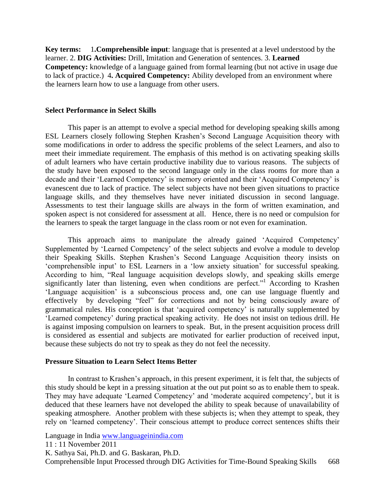**Key terms:** 1**.Comprehensible input**: language that is presented at a level understood by the learner. 2. **DIG Activities:** Drill, Imitation and Generation of sentences. 3. **Learned Competency:** knowledge of a language gained from formal learning (but not active in usage due to lack of practice.)4**. Acquired Competency:** Ability developed from an environment where the learners learn how to use a language from other users.

#### **Select Performance in Select Skills**

This paper is an attempt to evolve a special method for developing speaking skills among ESL Learners closely following Stephen Krashen"s Second Language Acquisition theory with some modifications in order to address the specific problems of the select Learners, and also to meet their immediate requirement. The emphasis of this method is on activating speaking skills of adult learners who have certain productive inability due to various reasons. The subjects of the study have been exposed to the second language only in the class rooms for more than a decade and their 'Learned Competency' is memory oriented and their 'Acquired Competency' is evanescent due to lack of practice. The select subjects have not been given situations to practice language skills, and they themselves have never initiated discussion in second language. Assessments to test their language skills are always in the form of written examination, and spoken aspect is not considered for assessment at all. Hence, there is no need or compulsion for the learners to speak the target language in the class room or not even for examination.

This approach aims to manipulate the already gained 'Acquired Competency' Supplemented by "Learned Competency" of the select subjects and evolve a module to develop their Speaking Skills. Stephen Krashen"s Second Language Acquisition theory insists on "comprehensible input" to ESL Learners in a "low anxiety situation" for successful speaking. According to him, "Real language acquisition develops slowly, and speaking skills emerge significantly later than listening, even when conditions are perfect." According to Krashen 'Language acquisition' is a subconscious process and, one can use language fluently and effectively by developing "feel" for corrections and not by being consciously aware of grammatical rules. His conception is that "acquired competency" is naturally supplemented by "Learned competency" during practical speaking activity. He does not insist on tedious drill. He is against imposing compulsion on learners to speak. But, in the present acquisition process drill is considered as essential and subjects are motivated for earlier production of received input, because these subjects do not try to speak as they do not feel the necessity.

#### **Pressure Situation to Learn Select Items Better**

In contrast to Krashen's approach, in this present experiment, it is felt that, the subjects of this study should be kept in a pressing situation at the out put point so as to enable them to speak. They may have adequate 'Learned Competency' and 'moderate acquired competency', but it is deduced that these learners have not developed the ability to speak because of unavailability of speaking atmosphere. Another problem with these subjects is; when they attempt to speak, they rely on "learned competency". Their conscious attempt to produce correct sentences shifts their

Language in India [www.languageinindia.com](http://www.languageinindia.com/)

11 : 11 November 2011

K. Sathya Sai, Ph.D. and G. Baskaran, Ph.D.

Comprehensible Input Processed through DIG Activities for Time-Bound Speaking Skills 668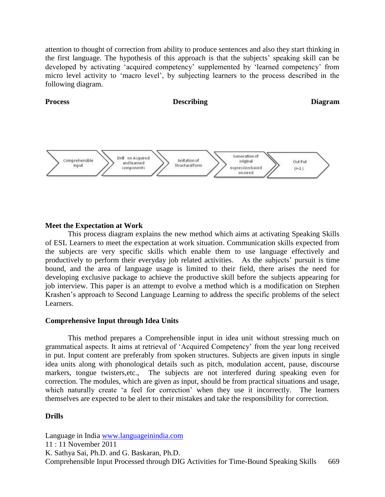attention to thought of correction from ability to produce sentences and also they start thinking in the first language. The hypothesis of this approach is that the subjects" speaking skill can be developed by activating "acquired competency" supplemented by "learned competency" from micro level activity to "macro level", by subjecting learners to the process described in the following diagram.



#### **Meet the Expectation at Work**

This process diagram explains the new method which aims at activating Speaking Skills of ESL Learners to meet the expectation at work situation. Communication skills expected from the subjects are very specific skills which enable them to use language effectively and productively to perform their everyday job related activities. As the subjects" pursuit is time bound, and the area of language usage is limited to their field, there arises the need for developing exclusive package to achieve the productive skill before the subjects appearing for job interview. This paper is an attempt to evolve a method which is a modification on Stephen Krashen"s approach to Second Language Learning to address the specific problems of the select Learners.

#### **Comprehensive Input through Idea Units**

This method prepares a Comprehensible input in idea unit without stressing much on grammatical aspects. It aims at retrieval of "Acquired Competency" from the year long received in put. Input content are preferably from spoken structures. Subjects are given inputs in single idea units along with phonological details such as pitch, modulation accent, pause, discourse markers, tongue twisters,etc., The subjects are not interfered during speaking even for correction. The modules, which are given as input, should be from practical situations and usage, which naturally create 'a feel for correction' when they use it incorrectly. The learners themselves are expected to be alert to their mistakes and take the responsibility for correction.

#### **Drills**

Language in India [www.languageinindia.com](http://www.languageinindia.com/) 11 : 11 November 2011 K. Sathya Sai, Ph.D. and G. Baskaran, Ph.D. Comprehensible Input Processed through DIG Activities for Time-Bound Speaking Skills 669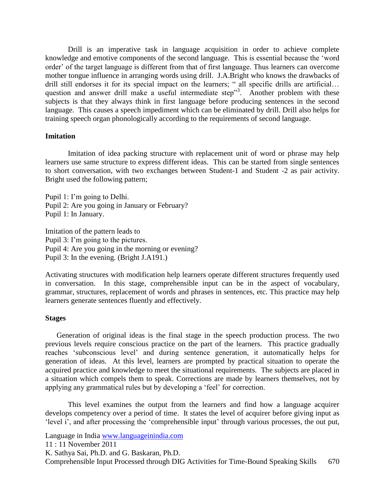Drill is an imperative task in language acquisition in order to achieve complete knowledge and emotive components of the second language. This is essential because the "word order" of the target language is different from that of first language. Thus learners can overcome mother tongue influence in arranging words using drill. J.A.Bright who knows the drawbacks of drill still endorses it for its special impact on the learners; " all specific drills are artificial… question and answer drill make a useful intermediate step"<sup>3</sup>. Another problem with these subjects is that they always think in first language before producing sentences in the second language. This causes a speech impediment which can be eliminated by drill. Drill also helps for training speech organ phonologically according to the requirements of second language.

#### **Imitation**

Imitation of idea packing structure with replacement unit of word or phrase may help learners use same structure to express different ideas. This can be started from single sentences to short conversation, with two exchanges between Student-1 and Student -2 as pair activity. Bright used the following pattern;

Pupil 1: I'm going to Delhi. Pupil 2: Are you going in January or February? Pupil 1: In January.

Imitation of the pattern leads to Pupil 3: I'm going to the pictures. Pupil 4: Are you going in the morning or evening? Pupil 3: In the evening. (Bright J.A191.)

Activating structures with modification help learners operate different structures frequently used in conversation. In this stage, comprehensible input can be in the aspect of vocabulary, grammar, structures, replacement of words and phrases in sentences, etc. This practice may help learners generate sentences fluently and effectively.

#### **Stages**

Generation of original ideas is the final stage in the speech production process. The two previous levels require conscious practice on the part of the learners. This practice gradually reaches "subconscious level" and during sentence generation, it automatically helps for generation of ideas. At this level, learners are prompted by practical situation to operate the acquired practice and knowledge to meet the situational requirements. The subjects are placed in a situation which compels them to speak. Corrections are made by learners themselves, not by applying any grammatical rules but by developing a "feel" for correction.

This level examines the output from the learners and find how a language acquirer develops competency over a period of time. It states the level of acquirer before giving input as 'level i', and after processing the 'comprehensible input' through various processes, the out put,

Language in India [www.languageinindia.com](http://www.languageinindia.com/)

11 : 11 November 2011

K. Sathya Sai, Ph.D. and G. Baskaran, Ph.D.

Comprehensible Input Processed through DIG Activities for Time-Bound Speaking Skills 670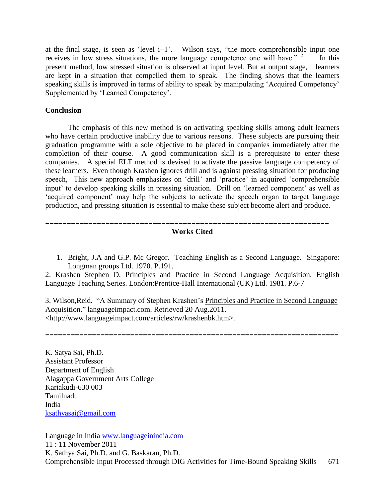at the final stage, is seen as 'level  $i+1$ '. Wilson says, "the more comprehensible input one receives in low stress situations, the more language competence one will have."  $2$  In this present method, low stressed situation is observed at input level. But at output stage, learners are kept in a situation that compelled them to speak. The finding shows that the learners speaking skills is improved in terms of ability to speak by manipulating 'Acquired Competency' Supplemented by "Learned Competency".

#### **Conclusion**

The emphasis of this new method is on activating speaking skills among adult learners who have certain productive inability due to various reasons. These subjects are pursuing their graduation programme with a sole objective to be placed in companies immediately after the completion of their course. A good communication skill is a prerequisite to enter these companies. A special ELT method is devised to activate the passive language competency of these learners. Even though Krashen ignores drill and is against pressing situation for producing speech, This new approach emphasizes on 'drill' and 'practice' in acquired 'comprehensible input" to develop speaking skills in pressing situation. Drill on "learned component" as well as "acquired component" may help the subjects to activate the speech organ to target language production, and pressing situation is essential to make these subject become alert and produce.

### **Works Cited**

**==================================================================**

1. Bright, J.A and G.P. Mc Gregor. Teaching English as a Second Language. Singapore: Longman groups Ltd. 1970. P.191.

2. Krashen Stephen D. Principles and Practice in Second Language Acquisition. English Language Teaching Series. London:Prentice-Hall International (UK) Ltd. 1981. P.6-7

3. Wilson,Reid. "A Summary of Stephen Krashen"s Principles and Practice in Second Language Acquisition." languageimpact.com. Retrieved 20 Aug.2011. <http://www.languageimpact.com/articles/rw/krashenbk.htm>.

=====================================================================

K. Satya Sai, Ph.D. Assistant Professor Department of English Alagappa Government Arts College Kariakudi-630 003 Tamilnadu India [ksathyasai@gmail.com](mailto:ksathyasai@gmail.com)

Language in India [www.languageinindia.com](http://www.languageinindia.com/) 11 : 11 November 2011 K. Sathya Sai, Ph.D. and G. Baskaran, Ph.D. Comprehensible Input Processed through DIG Activities for Time-Bound Speaking Skills 671